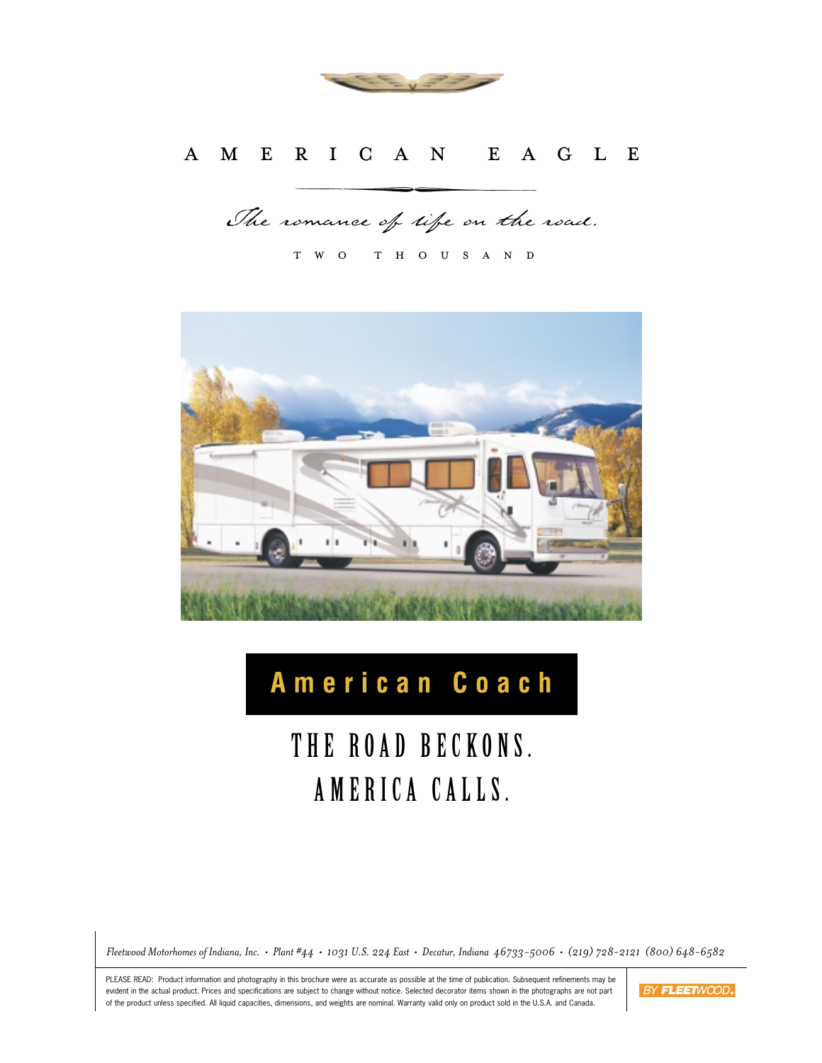

# AMERICAN EAGLE

The romance of life on the road.

two thousand



# American Coach

# THE ROAD BECKONS. AMERICA CALLS.

*Fleetwood Motorhomes of Indiana, Inc. • Plant #44 • 1031 U.S. 224 East • Decatur, Indiana 46733-5006 • (219) 728-2121 (800) 648-6582*

PLEASE READ: Product information and photography in this brochure were as accurate as possible at the time of publication. Subsequent refinements may be evident in the actual product. Prices and specifications are subject to change without notice. Selected decorator items shown in the photographs are not part of the product unless specified. All liquid capacities, dimensions, and weights are nominal. Warranty valid only on product sold in the U.S.A. and Canada.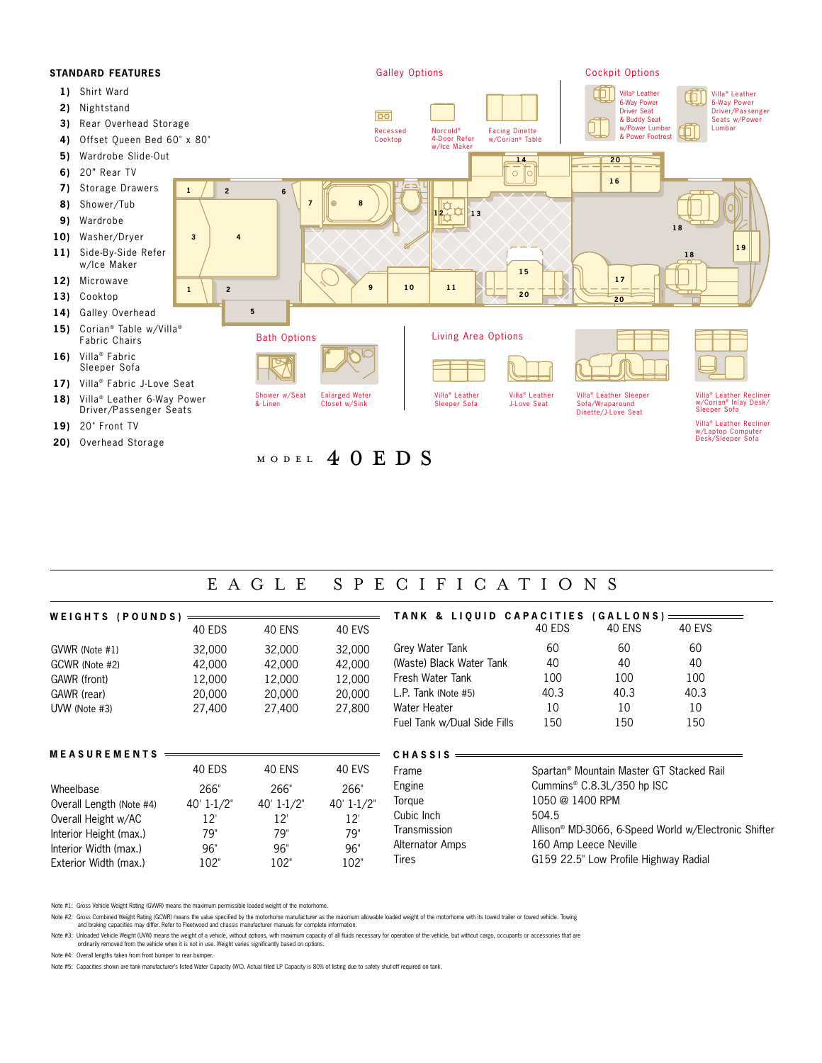

# EAGLE SPECIFICATIONS

| WEIGHTS (POUNDS)         |                |                |                |                             | TANK & LIQUID CAPACITIES (GALLONS) ====              |                                       |               |  |
|--------------------------|----------------|----------------|----------------|-----------------------------|------------------------------------------------------|---------------------------------------|---------------|--|
|                          | 40 EDS         | <b>40 ENS</b>  | <b>40 EVS</b>  |                             | 40 EDS                                               | <b>40 ENS</b>                         | <b>40 EVS</b> |  |
| GVWR (Note #1)           | 32,000         | 32,000         | 32,000         | Grey Water Tank             | 60                                                   | 60                                    | 60            |  |
| GCWR (Note #2)           | 42,000         | 42,000         | 42,000         | (Waste) Black Water Tank    | 40                                                   | 40                                    | 40            |  |
| GAWR (front)             | 12,000         | 12,000         | 12,000         | Fresh Water Tank            | 100                                                  | 100                                   | 100           |  |
| GAWR (rear)              | 20,000         | 20,000         | 20,000         | L.P. Tank (Note $#5$ )      | 40.3                                                 | 40.3                                  | 40.3          |  |
| UVW (Note #3)            | 27,400         | 27,400         | 27,800         | Water Heater                | 10                                                   | 10                                    | 10            |  |
|                          |                |                |                | Fuel Tank w/Dual Side Fills | 150                                                  | 150                                   | 150           |  |
| <b>MEASUREMENTS</b>      |                |                |                | <b>CHASSIS</b>              |                                                      |                                       |               |  |
|                          | 40 EDS         | 40 ENS         | 40 EVS         | Frame                       | Spartan <sup>®</sup> Mountain Master GT Stacked Rail |                                       |               |  |
| Wheelbase                | 266"           | 266"           | 266"           | Engine                      | Cummins <sup>®</sup> C.8.3L/350 hp ISC               |                                       |               |  |
| Overall Length (Note #4) | $40' 1 - 1/2"$ | $40' 1 - 1/2"$ | $40' 1 - 1/2"$ | Torque                      | 1050 @ 1400 RPM                                      |                                       |               |  |
| Overall Height w/AC      | 12'            | $12^{\circ}$   | $12^{\circ}$   | Cubic Inch                  | 504.5                                                |                                       |               |  |
| Interior Height (max.)   | 79"            | 79"            | 79"            | Transmission                | Allison® MD-3066, 6-Speed World w/Electronic Shifter |                                       |               |  |
| Interior Width (max.)    | 96"            | 96"            | 96"            | Alternator Amps             | 160 Amp Leece Neville                                |                                       |               |  |
| Exterior Width (max.)    | 102"           | 102"           | 102"           | Tires                       |                                                      | G159 22.5" Low Profile Highway Radial |               |  |

Note #1: Gross Vehicle Weight Rating (GVWR) means the maximum permissible loaded weight of the motorhome.

Note #2: Gross Combined Weight Rating (GOWR) means the value specified by the motorhome manufacturer as the maximum allowable loaded weight of the motorhome with its towed trailer or towed vehicle. Towing<br>and braking capac

Note #3: Unloaded Vehicle Weight (UVW) means the weight of a vehicle, without options, with maximum capacity of all fluids necessary for operation of the vehicle, but without cargo, occupants or accessories that are ordinarily removed from the vehicle when it is not in use. Weight varies significantly based on options.

Note #4: Overall lengths taken from front bumper to rear bumper.

Note #5: Capacities shown are tank manufacturer's listed Water Capacity (WC). Actual filled LP Capacity is 80% of listing due to safety shut-off required on tank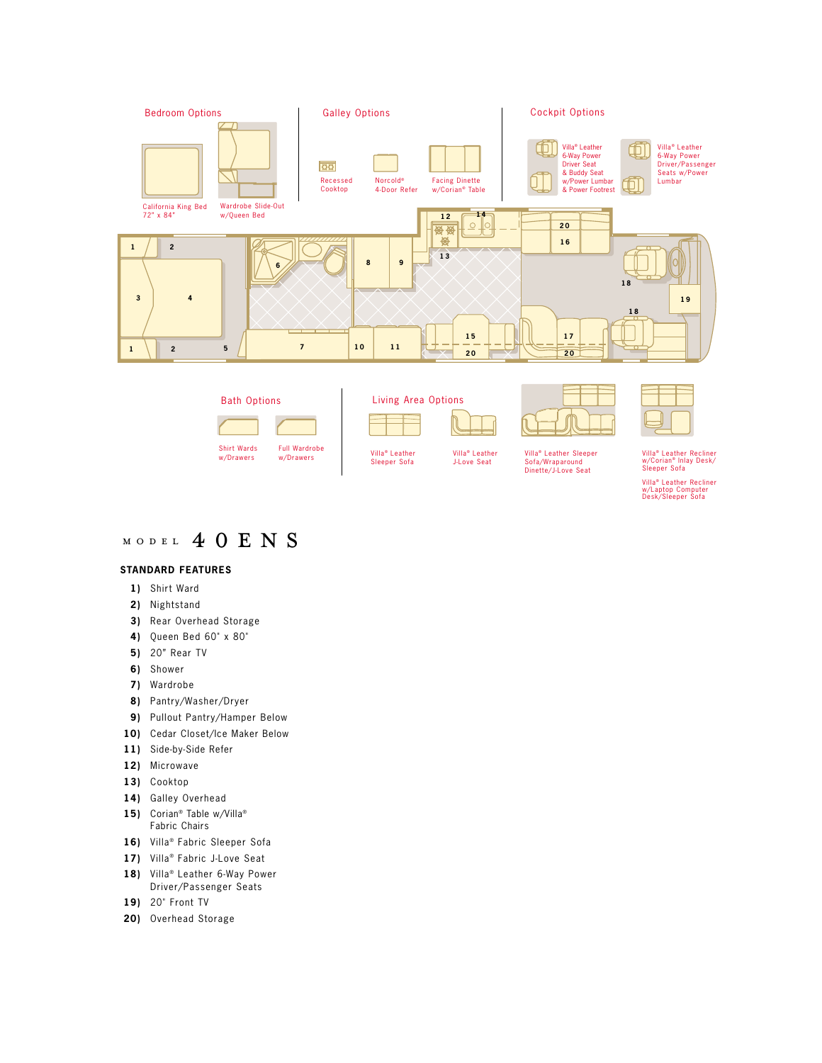

# MODEL 4 0 E N S

## **STANDARD FEATURES**

- **1)** Shirt Ward
- **2)** Nightstand
- **3)** Rear Overhead Storage
- **4)** Queen Bed 60" x 80"
- **5)** 20" Rear TV
- **6)** Shower
- **7)** Wardrobe
- **8)** Pantry/Washer/Dryer
- **9)** Pullout Pantry/Hamper Below
- **10)** Cedar Closet/Ice Maker Below
- **11)** Side-by-Side Refer
- **12)** Microwave
- **13)** Cooktop
- **14)** Galley Overhead
- 15) Corian<sup>®</sup> Table w/Villa<sup>®</sup> Fabric Chairs
- 16) Villa<sup>®</sup> Fabric Sleeper Sofa
- 17) Villa<sup>®</sup> Fabric J-Love Seat
- 18) Villa<sup>®</sup> Leather 6-Way Power Driver/Passenger Seats
- **19)** 20" Front TV
- **20)** Overhead Storage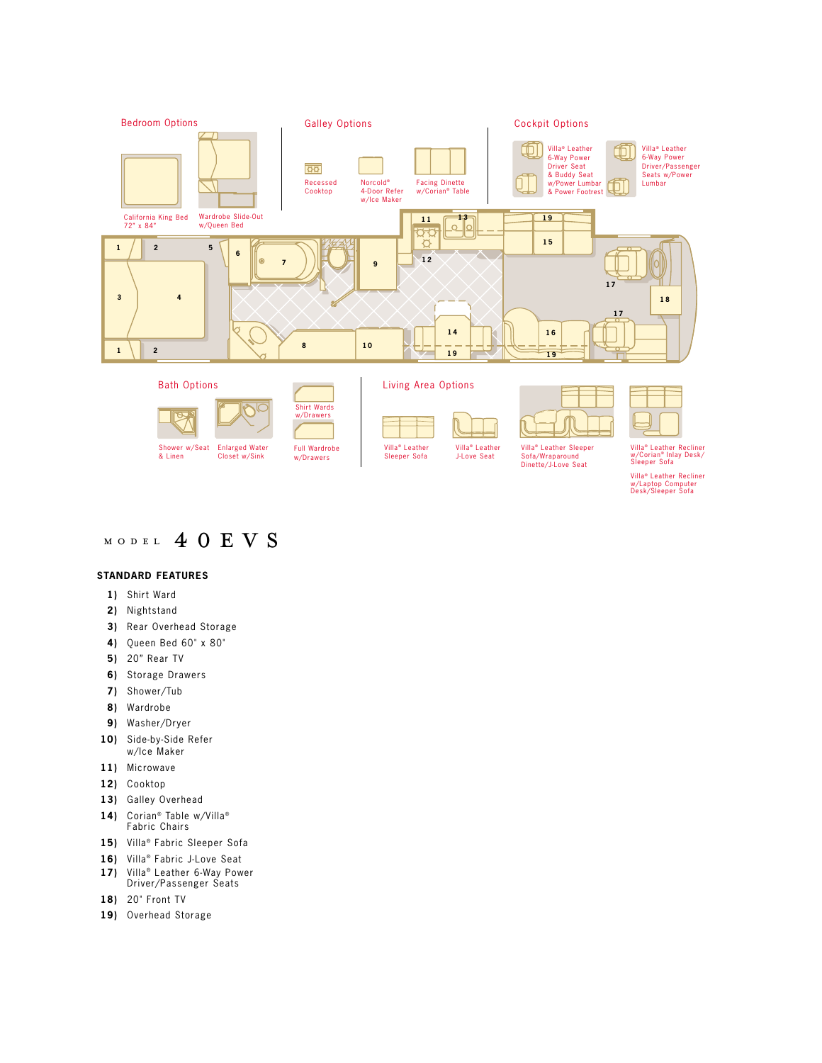

# MODEL 4 0 E V S

## **STANDARD FEATURES**

- **1)** Shirt Ward
- **2)** Nightstand
- **3)** Rear Overhead Storage
- **4)** Queen Bed 60" x 80"
- **5)** 20" Rear TV
- **6)** Storage Drawers
- **7)** Shower/Tub
- **8)** Wardrobe
- **9)** Washer/Dryer
- **10)** Side-by-Side Refer w/Ice Maker
- **11)** Microwave
- **12)** Cooktop
- **13)** Galley Overhead
- **14)** Corian® Table w/Villa®<br>Fabric Chairs
- 15) Villa<sup>®</sup> Fabric Sleeper Sofa
- 16) Villa<sup>®</sup> Fabric J-Love Seat
- 17) Villa<sup>®</sup> Leather 6-Way Power Driver/Passenger Seats
- **18)** 20" Front TV
- **19)** Overhead Storage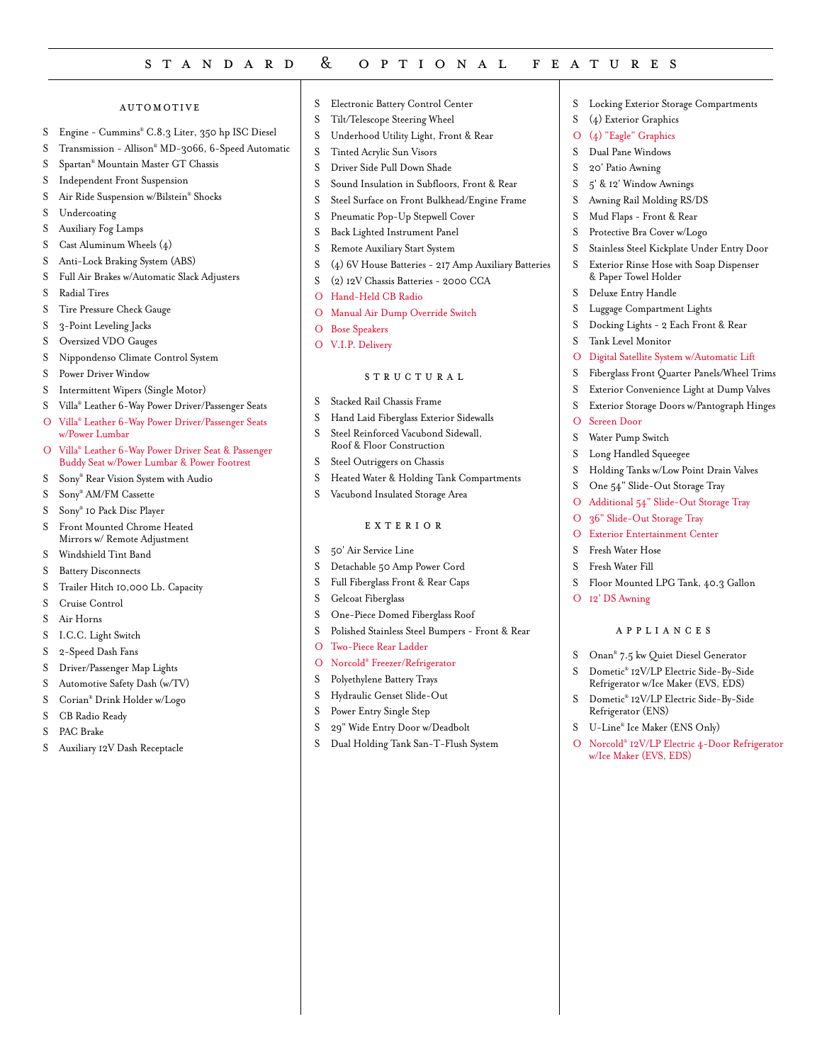# standard & optional features

#### automotive

- S Engine Cummins® C.8.3 Liter, 350 hp ISC Diesel
- S Transmission Allison® MD-3066, 6-Speed Automatic
- S Spartan® Mountain Master GT Chassis
- S Independent Front Suspension
- S Air Ride Suspension w/Bilstein® Shocks
- S Undercoating
- S Auxiliary Fog Lamps
- S Cast Aluminum Wheels (4)
- S Anti-Lock Braking System (ABS)
- S Full Air Brakes w/Automatic Slack Adjusters
- S Radial Tires
- S Tire Pressure Check Gauge
- S 3-Point Leveling Jacks
- S Oversized VDO Gauges
- S Nippondenso Climate Control System
- S Power Driver Window
- S Intermittent Wipers (Single Motor)
- S Villa® Leather 6-Way Power Driver/Passenger Seats
- O Villa® Leather 6-Way Power Driver/Passenger Seats w/Power Lumbar
- O Villa® Leather 6-Way Power Driver Seat & Passenger Buddy Seat w/Power Lumbar & Power Footrest
- S Sony® Rear Vision System with Audio
- S Sony® AM/FM Cassette
- S Sony® 10 Pack Disc Player
- S Front Mounted Chrome Heated Mirrors w/ Remote Adjustment
- S Windshield Tint Band
- S Battery Disconnects
- S Trailer Hitch 10,000 Lb. Capacity
- S Cruise Control
- S Air Horns
- S I.C.C. Light Switch
- S 2-Speed Dash Fans
- S Driver/Passenger Map Lights
- S Automotive Safety Dash (w/TV)
- S Corian® Drink Holder w/Logo
- S CB Radio Ready
- S PAC Brake
- S Auxiliary 12V Dash Receptacle
- S Electronic Battery Control Center
- S Tilt/Telescope Steering Wheel
- S Underhood Utility Light, Front & Rear
- S Tinted Acrylic Sun Visors
- S Driver Side Pull Down Shade
- S Sound Insulation in Subfloors, Front & Rear
- S Steel Surface on Front Bulkhead/Engine Frame
- S Pneumatic Pop-Up Stepwell Cover
- S Back Lighted Instrument Panel
- S Remote Auxiliary Start System
- S (4) 6V House Batteries 217 Amp Auxiliary Batteries S (2) 12V Chassis Batteries - 2000 CCA
- O Hand-Held CB Radio
- 
- O Manual Air Dump Override Switch
- O Bose Speakers
- O V.I.P. Delivery

## **STRUCTURAL**

- S Stacked Rail Chassis Frame
- S Hand Laid Fiberglass Exterior Sidewalls
- S Steel Reinforced Vacubond Sidewall,
- Roof & Floor Construction
- S Steel Outriggers on Chassis
- S Heated Water & Holding Tank Compartments
- S Vacubond Insulated Storage Area

## exterior

- S 50' Air Service Line
- S Detachable 50 Amp Power Cord
- S Full Fiberglass Front & Rear Caps
- S Gelcoat Fiberglass
- S One-Piece Domed Fiberglass Roof
- S Polished Stainless Steel Bumpers Front & Rear
- O Two-Piece Rear Ladder
- O Norcold® Freezer/Refrigerator
- S Polyethylene Battery Trays
- S Hydraulic Genset Slide-Out
- S Power Entry Single Step
- S 29" Wide Entry Door w/Deadbolt
- S Dual Holding Tank San-T-Flush System
- S Locking Exterior Storage Compartments
- S (4) Exterior Graphics
- O (4) "Eagle" Graphics
- S Dual Pane Windows
- S 20' Patio Awning
- S 5' & 12' Window Awnings
- S Awning Rail Molding RS/DS
- S Mud Flaps Front & Rear
- S Protective Bra Cover w/Logo
- S Stainless Steel Kickplate Under Entry Door
- S Exterior Rinse Hose with Soap Dispenser & Paper Towel Holder
- S Deluxe Entry Handle
- S Luggage Compartment Lights
	- S Docking Lights 2 Each Front & Rear
	- S Tank Level Monitor
	- O Digital Satellite System w/Automatic Lift
	- S Fiberglass Front Quarter Panels/Wheel Trims
	- S Exterior Convenience Light at Dump Valves
	- S Exterior Storage Doors w/Pantograph Hinges
	- O Screen Door
	- S Water Pump Switch
	- S Long Handled Squeegee
	- S Holding Tanks w/Low Point Drain Valves

S Floor Mounted LPG Tank, 40.3 Gallon

appliances S Onan® 7.5 kw Quiet Diesel Generator S Dometic® 12V/LP Electric Side-By-Side Refrigerator w/Ice Maker (EVS, EDS) S Dometic® 12V/LP Electric Side-By-Side

O Norcold® 12V/LP Electric 4-Door Refrigerator

S One 54" Slide-Out Storage Tray O Additional 54" Slide-Out Storage Tray

O 36" Slide-Out Storage Tray O Exterior Entertainment Center

S Fresh Water Hose S Fresh Water Fill

O 12' DS Awning

Refrigerator (ENS) S U-Line® Ice Maker (ENS Only)

w/Ice Maker (EVS, EDS)